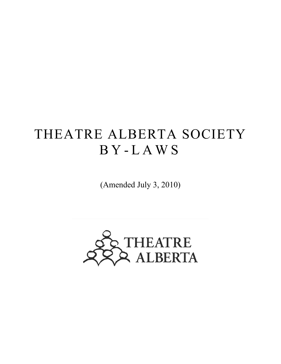# THEATRE ALBERTA SOCIETY B Y - LAWS

(Amended July 3, 2010)

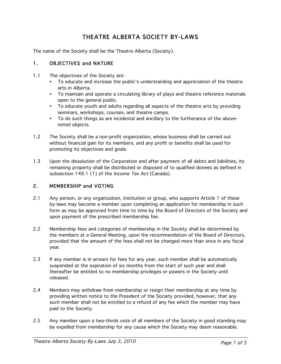# THEATRE ALBERTA SOCIETY BY-LAWS

The name of the Society shall be the Theatre Alberta (Society).

#### 1. OBJECTIVES and NATURE

- 1.1 The objectives of the Society are:
	- To educate and increase the public's understanding and appreciation of the theatre arts in Alberta.
	- To maintain and operate a circulating library of plays and theatre reference materials open to the general public.
	- To educate youth and adults regarding all aspects of the theatre arts by providing seminars, workshops, courses, and theatre camps.
	- To do such things as are incidental and ancillary to the furtherance of the abovenoted objects.
- 1.2 The Society shall be a non-profit organization, whose business shall be carried out without financial gain for its members, and any profit or benefits shall be used for promoting its objectives and goals.
- 1.3 Upon the dissolution of the Corporation and after payment of all debts and liabilities, its remaining property shall be distributed or disposed of to qualified donees as defined in subsection 149.1 (1) of the *Income Tax Act* (Canada).

#### 2. MEMBERSHIP and VOTING

- 2.1 Any person, or any organization, institution or group, who supports Article 1 of these by-laws may become a member upon completing an application for membership in such form as may be approved from time to time by the Board of Directors of the Society and upon payment of the prescribed membership fee.
- 2.2 Membership fees and categories of membership in the Society shall be determined by the members at a General Meeting, upon the recommendation of the Board of Directors, provided that the amount of the fees shall not be changed more than once in any fiscal year.
- 2.3 If any member is in arrears for fees for any year, such member shall be automatically suspended at the expiration of six months from the start of such year and shall thereafter be entitled to no membership privileges or powers in the Society until released.
- 2.4 Members may withdraw from membership or resign their membership at any time by providing written notice to the President of the Society provided, however, that any such member shall not be entitled to a refund of any fee which the member may have paid to the Society.
- 2.5 Any member upon a two-thirds vote of all members of the Society in good standing may be expelled from membership for any cause which the Society may deem reasonable.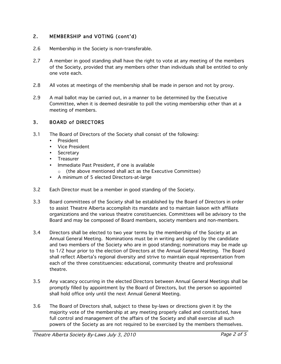# 2. MEMBERSHIP and VOTING (cont'd)

- 2.6 Membership in the Society is non-transferable.
- 2.7 A member in good standing shall have the right to vote at any meeting of the members of the Society, provided that any members other than individuals shall be entitled to only one vote each.
- 2.8 All votes at meetings of the membership shall be made in person and not by proxy.
- 2.9 A mail ballot may be carried out, in a manner to be determined by the Executive Committee, when it is deemed desirable to poll the voting membership other than at a meeting of members.

#### 3. BOARD of DIRECTORS

- 3.1 The Board of Directors of the Society shall consist of the following:
	- President
	- Vice President
	- Secretary
	- Treasurer
	- Immediate Past President, if one is available
		- o (the above mentioned shall act as the Executive Committee)
	- A minimum of 5 elected Directors-at-large
- 3.2 Each Director must be a member in good standing of the Society.
- 3.3 Board committees of the Society shall be established by the Board of Directors in order to assist Theatre Alberta accomplish its mandate and to maintain liaison with affiliate organizations and the various theatre constituencies. Committees will be advisory to the Board and may be composed of Board members, society members and non-members.
- 3.4 Directors shall be elected to two year terms by the membership of the Society at an Annual General Meeting. Nominations must be in writing and signed by the candidate and two members of the Society who are in good standing; nominations may be made up to 1/2 hour prior to the election of Directors at the Annual General Meeting. The Board shall reflect Alberta's regional diversity and strive to maintain equal representation from each of the three constituencies: educational, community theatre and professional theatre.
- 3.5 Any vacancy occurring in the elected Directors between Annual General Meetings shall be promptly filled by appointment by the Board of Directors, but the person so appointed shall hold office only until the next Annual General Meeting.
- 3.6 The Board of Directors shall, subject to these by-laws or directions given it by the majority vote of the membership at any meeting properly called and constituted, have full control and management of the affairs of the Society and shall exercise all such powers of the Society as are not required to be exercised by the members themselves.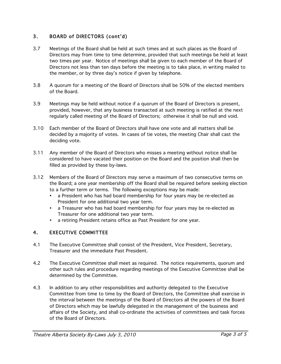# 3. BOARD of DIRECTORS (cont'd)

- 3.7 Meetings of the Board shall be held at such times and at such places as the Board of Directors may from time to time determine, provided that such meetings be held at least two times per year. Notice of meetings shall be given to each member of the Board of Directors not less than ten days before the meeting is to take place, in writing mailed to the member, or by three day's notice if given by telephone.
- 3.8 A quorum for a meeting of the Board of Directors shall be 50% of the elected members of the Board.
- 3.9 Meetings may be held without notice if a quorum of the Board of Directors is present, provided, however, that any business transacted at such meeting is ratified at the next regularly called meeting of the Board of Directors; otherwise it shall be null and void.
- 3.10 Each member of the Board of Directors shall have one vote and all matters shall be decided by a majority of votes. In cases of tie votes, the meeting Chair shall cast the deciding vote.
- 3.11 Any member of the Board of Directors who misses a meeting without notice shall be considered to have vacated their position on the Board and the position shall then be filled as provided by these by-laws.
- 3.12 Members of the Board of Directors may serve a maximum of two consecutive terms on the Board; a one year membership off the Board shall be required before seeking election to a further term or terms. The following exceptions may be made:
	- a President who has had board membership for four years may be re-elected as President for one additional two year term.
	- a Treasurer who has had board membership for four years may be re-elected as Treasurer for one additional two year term.
	- a retiring President retains office as Past President for one year.

# 4. EXECUTIVE COMMITTEE

- 4.1 The Executive Committee shall consist of the President, Vice President, Secretary, Treasurer and the immediate Past President.
- 4.2 The Executive Committee shall meet as required. The notice requirements, quorum and other such rules and procedure regarding meetings of the Executive Committee shall be determined by the Committee.
- 4.3 In addition to any other responsibilities and authority delegated to the Executive Committee from time to time by the Board of Directors, the Committee shall exercise in the interval between the meetings of the Board of Directors all the powers of the Board of Directors which may be lawfully delegated in the management of the business and affairs of the Society, and shall co-ordinate the activities of committees and task forces of the Board of Directors.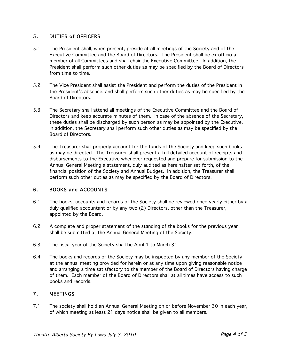#### 5. DUTIES of OFFICERS

- 5.1 The President shall, when present, preside at all meetings of the Society and of the Executive Committee and the Board of Directors. The President shall be ex-officio a member of all Committees and shall chair the Executive Committee. In addition, the President shall perform such other duties as may be specified by the Board of Directors from time to time.
- 5.2 The Vice President shall assist the President and perform the duties of the President in the President's absence, and shall perform such other duties as may be specified by the Board of Directors.
- 5.3 The Secretary shall attend all meetings of the Executive Committee and the Board of Directors and keep accurate minutes of them. In case of the absence of the Secretary, these duties shall be discharged by such person as may be appointed by the Executive. In addition, the Secretary shall perform such other duties as may be specified by the Board of Directors.
- 5.4 The Treasurer shall properly account for the funds of the Society and keep such books as may be directed. The Treasurer shall present a full detailed account of receipts and disbursements to the Executive whenever requested and prepare for submission to the Annual General Meeting a statement, duly audited as hereinafter set forth, of the financial position of the Society and Annual Budget. In addition, the Treasurer shall perform such other duties as may be specified by the Board of Directors.

# 6. BOOKS and ACCOUNTS

- 6.1 The books, accounts and records of the Society shall be reviewed once yearly either by a duly qualified accountant or by any two (2) Directors, other than the Treasurer, appointed by the Board.
- 6.2 A complete and proper statement of the standing of the books for the previous year shall be submitted at the Annual General Meeting of the Society.
- 6.3 The fiscal year of the Society shall be April 1 to March 31.
- 6.4 The books and records of the Society may be inspected by any member of the Society at the annual meeting provided for herein or at any time upon giving reasonable notice and arranging a time satisfactory to the member of the Board of Directors having charge of them. Each member of the Board of Directors shall at all times have access to such books and records.

# 7. MEETINGS

7.1 The society shall hold an Annual General Meeting on or before November 30 in each year, of which meeting at least 21 days notice shall be given to all members.